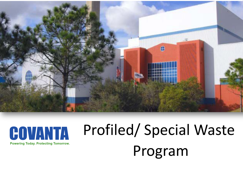



# Profiled/ Special Waste Program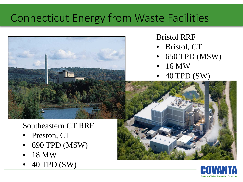### Connecticut Energy from Waste Facilities



#### Southeastern CT RRF

- Preston, CT
- 690 TPD (MSW)
- 18 MW
- 40 TPD (SW)

#### Bristol RRF

- Bristol, CT
- 650 TPD (MSW)
- 16 MW
- 40 TPD (SW)



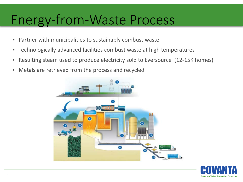### Energy-from-Waste Process

- Partner with municipalities to sustainably combust waste
- Technologically advanced facilities combust waste at high temperatures
- Resulting steam used to produce electricity sold to Eversource (12-15K homes)
- Metals are retrieved from the process and recycled



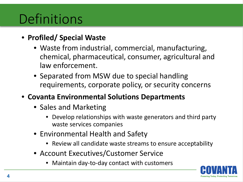# **Definitions**

#### • **Profiled/ Special Waste**

- Waste from industrial, commercial, manufacturing, chemical, pharmaceutical, consumer, agricultural and law enforcement.
- Separated from MSW due to special handling requirements, corporate policy, or security concerns
- **Covanta Environmental Solutions Departments**
	- Sales and Marketing
		- Develop relationships with waste generators and third party waste services companies
	- Environmental Health and Safety
		- Review all candidate waste streams to ensure acceptability
	- Account Executives/Customer Service
		- Maintain day-to-day contact with customers

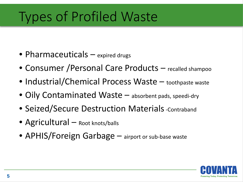# Types of Profiled Waste

- Pharmaceuticals expired drugs
- Consumer / Personal Care Products recalled shampoo
- Industrial/Chemical Process Waste toothpaste waste
- Oily Contaminated Waste absorbent pads, speedi-dry
- Seized/Secure Destruction Materials Contraband
- Agricultural Root knots/balls
- APHIS/Foreign Garbage airport or sub-base waste

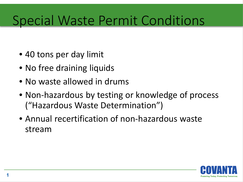## Special Waste Permit Conditions

- 40 tons per day limit
- No free draining liquids
- No waste allowed in drums
- Non-hazardous by testing or knowledge of process ("Hazardous Waste Determination")
- Annual recertification of non-hazardous waste stream

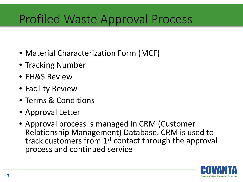### Profiled Waste Approval Process

- Material Characterization Form (MCF)
- Tracking Number
- EH&S Review
- Facility Review
- Terms & Conditions
- Approval Letter
- Approval process is managed in CRM (Customer Relationship Management) Database. CRM is used to track customers from 1<sup>st</sup> contact through the approval process and continued service

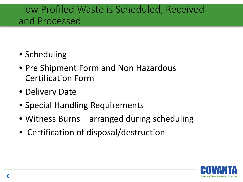### How Profiled Waste is Scheduled, Received and Processed

- Scheduling
- Pre Shipment Form and Non Hazardous Certification Form
- Delivery Date
- Special Handling Requirements
- Witness Burns arranged during scheduling
- Certification of disposal/destruction

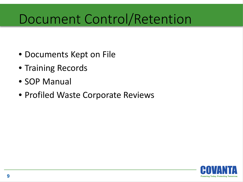# Document Control/Retention

- Documents Kept on File
- Training Records
- SOP Manual
- Profiled Waste Corporate Reviews